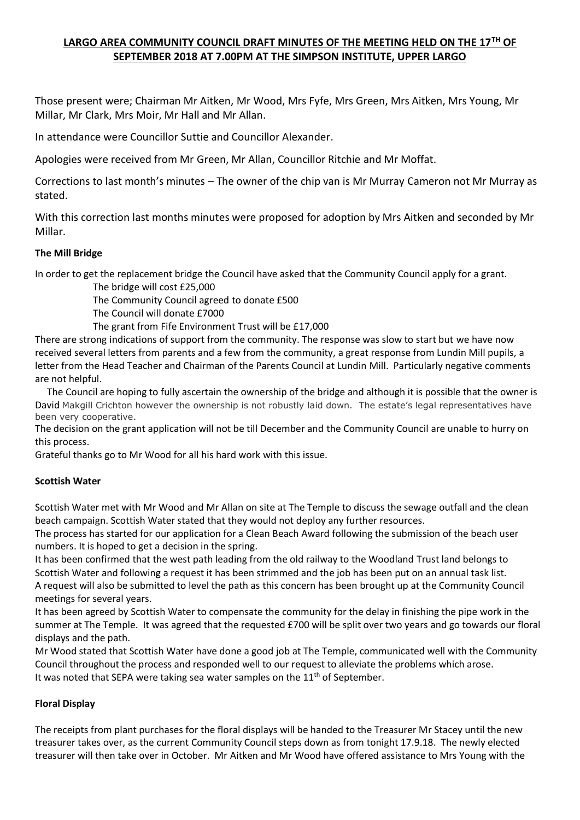# **LARGO AREA COMMUNITY COUNCIL DRAFT MINUTES OF THE MEETING HELD ON THE 17TH OF SEPTEMBER 2018 AT 7.00PM AT THE SIMPSON INSTITUTE, UPPER LARGO**

Those present were; Chairman Mr Aitken, Mr Wood, Mrs Fyfe, Mrs Green, Mrs Aitken, Mrs Young, Mr Millar, Mr Clark, Mrs Moir, Mr Hall and Mr Allan.

In attendance were Councillor Suttie and Councillor Alexander.

Apologies were received from Mr Green, Mr Allan, Councillor Ritchie and Mr Moffat.

Corrections to last month's minutes – The owner of the chip van is Mr Murray Cameron not Mr Murray as stated.

With this correction last months minutes were proposed for adoption by Mrs Aitken and seconded by Mr Millar.

# **The Mill Bridge**

In order to get the replacement bridge the Council have asked that the Community Council apply for a grant.

The bridge will cost £25,000

The Community Council agreed to donate £500

The Council will donate £7000

The grant from Fife Environment Trust will be £17,000

There are strong indications of support from the community. The response was slow to start but we have now received several letters from parents and a few from the community, a great response from Lundin Mill pupils, a letter from the Head Teacher and Chairman of the Parents Council at Lundin Mill. Particularly negative comments are not helpful.

 The Council are hoping to fully ascertain the ownership of the bridge and although it is possible that the owner is David Makgill Crichton however the ownership is not robustly laid down. The estate's legal representatives have been very cooperative.

The decision on the grant application will not be till December and the Community Council are unable to hurry on this process.

Grateful thanks go to Mr Wood for all his hard work with this issue.

# **Scottish Water**

Scottish Water met with Mr Wood and Mr Allan on site at The Temple to discuss the sewage outfall and the clean beach campaign. Scottish Water stated that they would not deploy any further resources.

The process has started for our application for a Clean Beach Award following the submission of the beach user numbers. It is hoped to get a decision in the spring.

It has been confirmed that the west path leading from the old railway to the Woodland Trust land belongs to Scottish Water and following a request it has been strimmed and the job has been put on an annual task list. A request will also be submitted to level the path as this concern has been brought up at the Community Council meetings for several years.

It has been agreed by Scottish Water to compensate the community for the delay in finishing the pipe work in the summer at The Temple. It was agreed that the requested £700 will be split over two years and go towards our floral displays and the path.

Mr Wood stated that Scottish Water have done a good job at The Temple, communicated well with the Community Council throughout the process and responded well to our request to alleviate the problems which arose. It was noted that SEPA were taking sea water samples on the  $11<sup>th</sup>$  of September.

# **Floral Display**

The receipts from plant purchases for the floral displays will be handed to the Treasurer Mr Stacey until the new treasurer takes over, as the current Community Council steps down as from tonight 17.9.18. The newly elected treasurer will then take over in October. Mr Aitken and Mr Wood have offered assistance to Mrs Young with the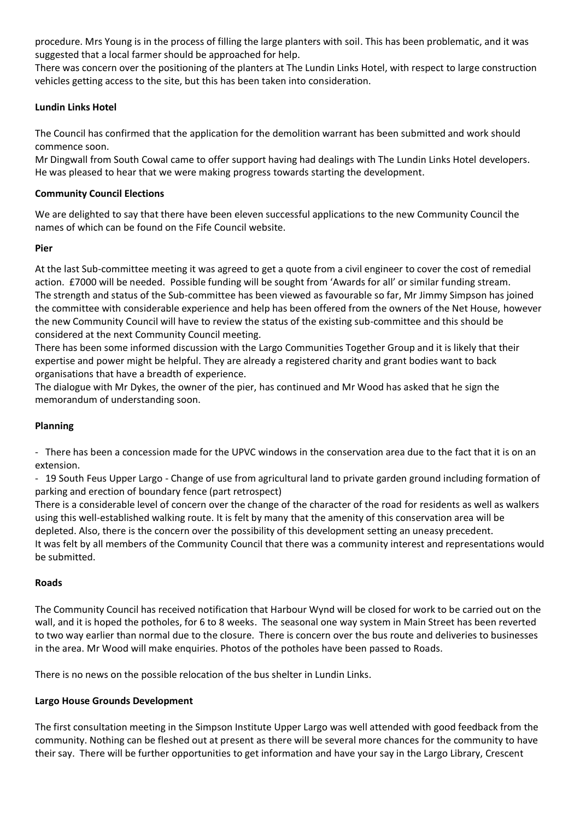procedure. Mrs Young is in the process of filling the large planters with soil. This has been problematic, and it was suggested that a local farmer should be approached for help.

There was concern over the positioning of the planters at The Lundin Links Hotel, with respect to large construction vehicles getting access to the site, but this has been taken into consideration.

## **Lundin Links Hotel**

The Council has confirmed that the application for the demolition warrant has been submitted and work should commence soon.

Mr Dingwall from South Cowal came to offer support having had dealings with The Lundin Links Hotel developers. He was pleased to hear that we were making progress towards starting the development.

#### **Community Council Elections**

We are delighted to say that there have been eleven successful applications to the new Community Council the names of which can be found on the Fife Council website.

#### **Pier**

At the last Sub-committee meeting it was agreed to get a quote from a civil engineer to cover the cost of remedial action. £7000 will be needed. Possible funding will be sought from 'Awards for all' or similar funding stream. The strength and status of the Sub-committee has been viewed as favourable so far, Mr Jimmy Simpson has joined the committee with considerable experience and help has been offered from the owners of the Net House, however the new Community Council will have to review the status of the existing sub-committee and this should be considered at the next Community Council meeting.

There has been some informed discussion with the Largo Communities Together Group and it is likely that their expertise and power might be helpful. They are already a registered charity and grant bodies want to back organisations that have a breadth of experience.

The dialogue with Mr Dykes, the owner of the pier, has continued and Mr Wood has asked that he sign the memorandum of understanding soon.

# **Planning**

- There has been a concession made for the UPVC windows in the conservation area due to the fact that it is on an extension.

- 19 South Feus Upper Largo - Change of use from agricultural land to private garden ground including formation of parking and erection of boundary fence (part retrospect)

There is a considerable level of concern over the change of the character of the road for residents as well as walkers using this well-established walking route. It is felt by many that the amenity of this conservation area will be depleted. Also, there is the concern over the possibility of this development setting an uneasy precedent. It was felt by all members of the Community Council that there was a community interest and representations would be submitted.

#### **Roads**

The Community Council has received notification that Harbour Wynd will be closed for work to be carried out on the wall, and it is hoped the potholes, for 6 to 8 weeks. The seasonal one way system in Main Street has been reverted to two way earlier than normal due to the closure. There is concern over the bus route and deliveries to businesses in the area. Mr Wood will make enquiries. Photos of the potholes have been passed to Roads.

There is no news on the possible relocation of the bus shelter in Lundin Links.

# **Largo House Grounds Development**

The first consultation meeting in the Simpson Institute Upper Largo was well attended with good feedback from the community. Nothing can be fleshed out at present as there will be several more chances for the community to have their say. There will be further opportunities to get information and have your say in the Largo Library, Crescent